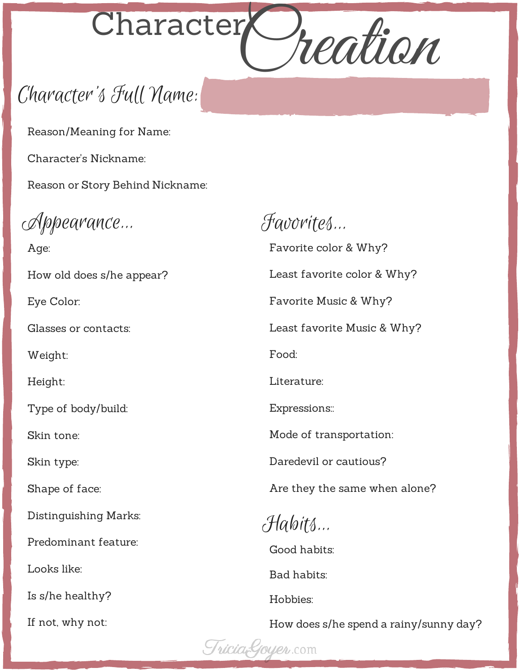

Reason/Meaning for Name:

Character's Nickname:

Reason or Story Behind Nickname:

Appearance...

Age: How old does s/he appear? Eye Color: Glasses or contacts: Weight: Height: Type of body/build: Skin tone: Skin type: Shape of face: Distinguishing Marks: Predominant feature: Looks like: Is s/he healthy? If not, why not:

Favorites... Favorite color & Why? Least favorite color & Why? Favorite Music & Why? Least favorite Music & Why? Food: Literature: Expressions:: Mode of transportation: Daredevil or cautious? Are they the same when alone? Habits... Good habits: Bad habits:

How does s/he spend a rainy/sunny day?

Tricia-Goyer.com

Hobbies: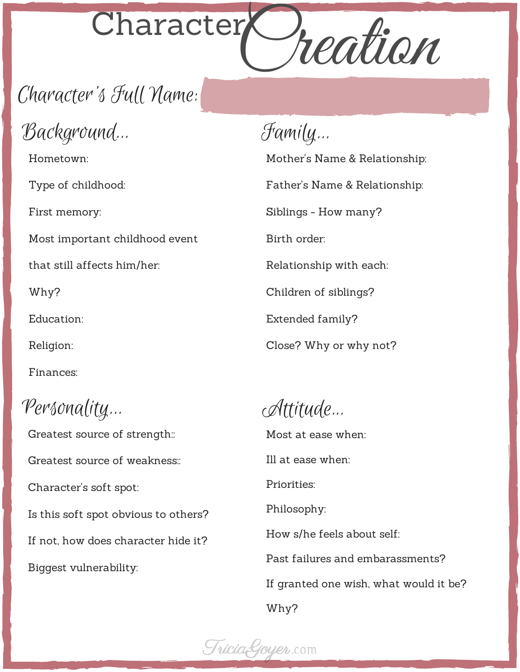

Background...

Hometown:

Type of childhood:

First memory:

Most important childhood event

that still affects him/her:

Why?

Education:

Religion:

Finances:

Personality...

Greatest source of strength:: Greatest source of weakness:: Character's soft spot: Is this soft spot obvious to others? If not, how does character hide it? Biggest vulnerability:

Family...

Mother's Name & Relationship: Father's Name & Relationship: Siblings - How many? Birth order: Relationship with each: Children of siblings? Extended family?

Close? Why or why not?

Attitude...

Most at ease when: Ill at ease when: Priorities: Philosophy: How s/he feels about self: Past failures and embarassments? If granted one wish, what would it be? Why?

Tricia<sub>c</sub>Goyer.com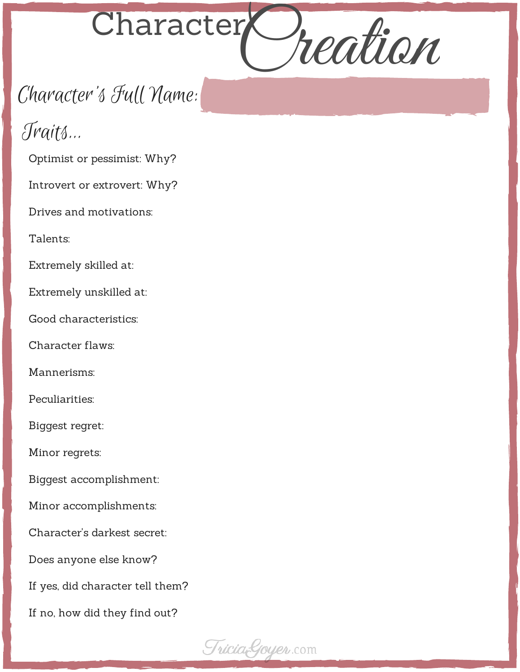

# Traits...

Optimist or pessimist: Why?

Introvert or extrovert: Why?

Drives and motivations:

Talents:

Extremely skilled at:

Extremely unskilled at:

Good characteristics:

Character flaws:

Mannerisms:

Peculiarities:

Biggest regret:

Minor regrets:

Biggest accomplishment:

Minor accomplishments:

Character's darkest secret:

Does anyone else know?

If yes, did character tell them?

If no, how did they find out?

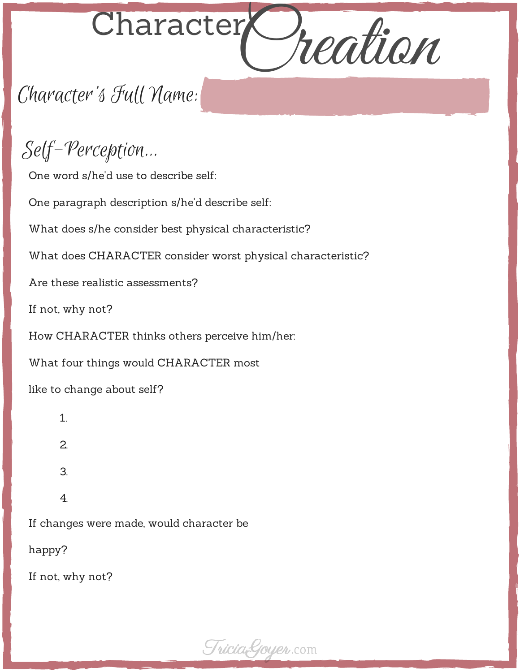

Self-Perception...

One word s/he'd use to describe self:

One paragraph description s/he'd describe self:

What does s/he consider best physical characteristic?

What does CHARACTER consider worst physical characteristic?

Are these realistic assessments?

If not, why not?

How CHARACTER thinks others perceive him/her:

What four things would CHARACTER most

like to change about self?

- 1. 2. 3.
- 4.

If changes were made, would character be

happy?

If not, why not?

Tricia<sub>c</sub>Goyer.com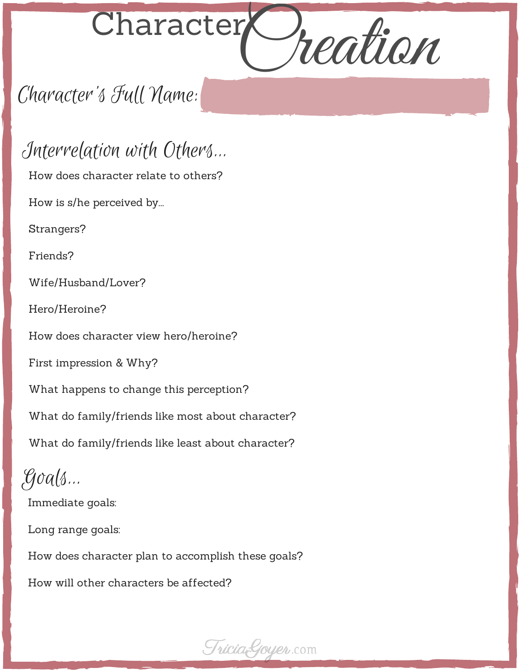

Interrelation with Others... How does character relate to others? How is s/he perceived by... Strangers? Friends? Wife/Husband/Lover? Hero/Heroine? How does character view hero/heroine? First impression & Why? What happens to change this perception? What do family/friends like most about character? What do family/friends like least about character? Goals... Immediate goals:

Long range goals:

How does character plan to accomplish these goals?

How will other characters be affected?

Tricia<sub>c</sub>Goyer.com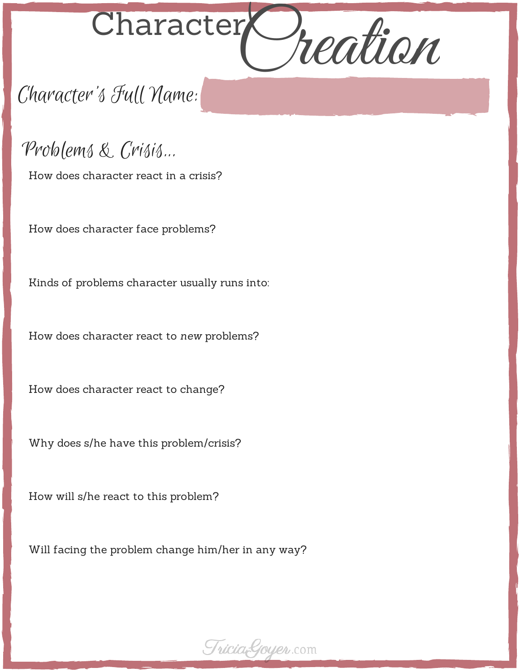

Problems & Crisis...

How does character react in a crisis?

How does character face problems?

Kinds of problems character usually runs into:

How does character react to *new* problems?

How does character react to change?

Why does s/he have this problem/crisis?

How will s/he react to this problem?

Will facing the problem change him/her in any way?

Tricia<sub>c</sub>Goyer.com